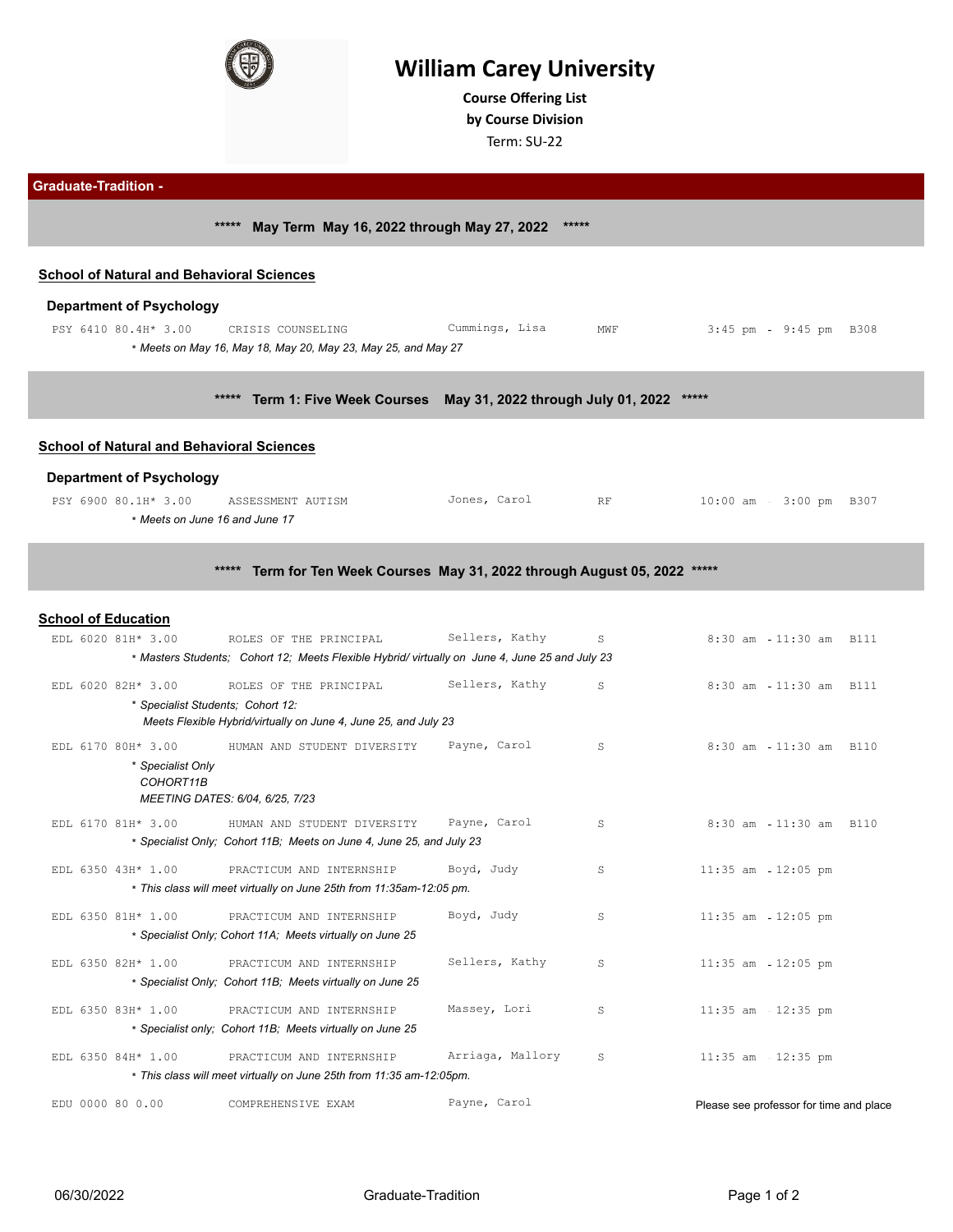

# **William Carey University**

**Course Ofering List by Course Division**

Term: SU-22

**Graduate-Tradition - \*\*\*\*\* May Term May 16, 2022 through May 27, 2022 \*\*\*\*\***

### **School of Natural and Behavioral Sciences**

#### **Department of Psychology**

PSY 6410 80.4H\* 3.00 CRISIS COUNSELING Cummings, Lisa MWF 3:45 pm 9:45 pm B308 \* *Meets on May 16, May 18, May 20, May 23, May 25, and May 27*

**\*\*\*\*\* Term 1: Five Week Courses May 31, 2022 through July 01, 2022 \*\*\*\*\***

#### **School of Natural and Behavioral Sciences**

#### **Department of Psychology**

| PSY 6900 80.1H* 3.00         | ASSESSMENT AUTISM | Carol<br>Jones, r | D F | $10:00$ am - $3:00$ pm<br>B307 |
|------------------------------|-------------------|-------------------|-----|--------------------------------|
| Meets on June 16 and June 17 |                   |                   |     |                                |

#### **\*\*\*\*\* Term for Ten Week Courses May 31, 2022 through August 05, 2022 \*\*\*\*\***

#### **School of Education**

| EDL 6020 81H* 3.00                | ROLES OF THE PRINCIPAL                                                                         | Sellers, Kathy   | S. | 8:30 am 11:30 am B111                   |
|-----------------------------------|------------------------------------------------------------------------------------------------|------------------|----|-----------------------------------------|
|                                   | * Masters Students: Cohort 12; Meets Flexible Hybrid/ virtually on June 4, June 25 and July 23 |                  |    |                                         |
| EDL 6020 82H* 3.00                | ROLES OF THE PRINCIPAL                                                                         | Sellers, Kathy   | S  | $8:30$ am<br>11:30 am B111              |
| * Specialist Students: Cohort 12: |                                                                                                |                  |    |                                         |
|                                   | Meets Flexible Hybrid/virtually on June 4, June 25, and July 23                                |                  |    |                                         |
| EDL 6170 80H* 3.00                | HUMAN AND STUDENT DIVERSITY                                                                    | Payne, Carol     | S  | $8:30$ am<br>11:30 am B110              |
| * Specialist Only                 |                                                                                                |                  |    |                                         |
| COHORT11B                         | MEETING DATES: 6/04, 6/25, 7/23                                                                |                  |    |                                         |
|                                   |                                                                                                |                  |    |                                         |
| EDL 6170 81H* 3.00                | HUMAN AND STUDENT DIVERSITY                                                                    | Payne, Carol     | S  | $8:30$ am<br>11:30 am B110              |
|                                   | * Specialist Only; Cohort 11B; Meets on June 4, June 25, and July 23                           |                  |    |                                         |
| EDL 6350 43H* 1.00                | PRACTICUM AND INTERNSHIP                                                                       | Boyd, Judy       | S  | $11:35$ am $-12:05$ pm                  |
|                                   | * This class will meet virtually on June 25th from 11:35am-12:05 pm.                           |                  |    |                                         |
| EDL 6350 81H* 1.00                | PRACTICUM AND INTERNSHIP                                                                       | Boyd, Judy       | S  | $11:35$ am $-12:05$ pm                  |
|                                   | * Specialist Only; Cohort 11A; Meets virtually on June 25                                      |                  |    |                                         |
| EDL 6350 82H* 1.00                | PRACTICUM AND INTERNSHIP                                                                       | Sellers, Kathy   | S  | $11:35$ am $-12:05$ pm                  |
|                                   | * Specialist Only; Cohort 11B; Meets virtually on June 25                                      |                  |    |                                         |
|                                   |                                                                                                |                  |    |                                         |
| EDL 6350 83H* 1.00                | PRACTICUM AND INTERNSHIP                                                                       | Massey, Lori     | S  | $11:35$ am<br>$12:35$ pm                |
|                                   | * Specialist only: Cohort 11B: Meets virtually on June 25                                      |                  |    |                                         |
| EDL 6350 84H* 1.00                | PRACTICUM AND INTERNSHIP                                                                       | Arriaga, Mallory | S  | $11:35$ am $12:35$ pm                   |
|                                   | * This class will meet virtually on June 25th from 11:35 am-12:05pm.                           |                  |    |                                         |
| EDU 0000 80 0.00                  | COMPREHENSIVE EXAM                                                                             | Payne, Carol     |    | Please see professor for time and place |
|                                   |                                                                                                |                  |    |                                         |